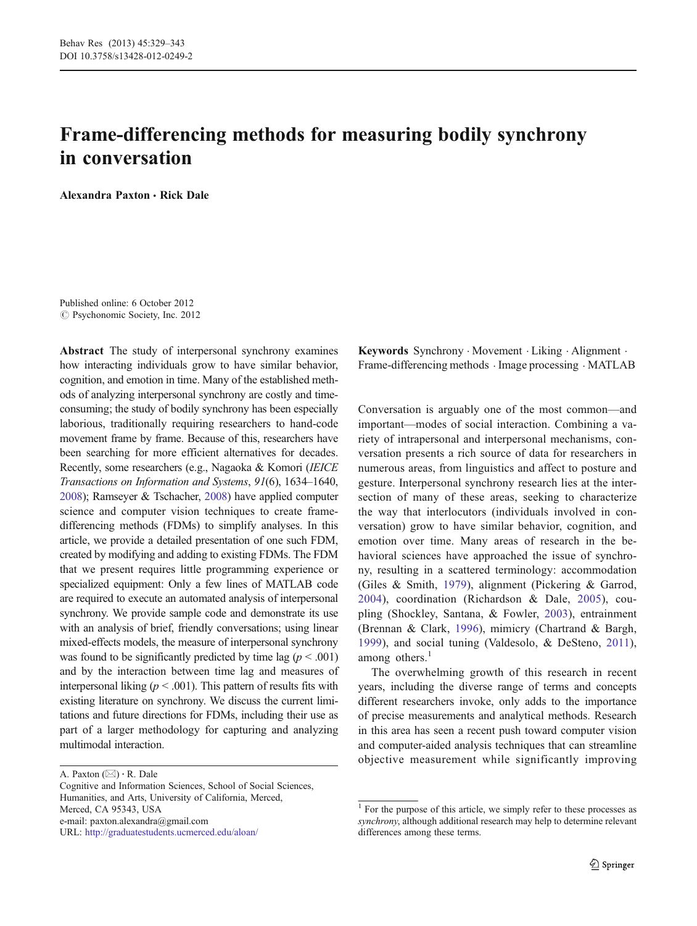# Frame-differencing methods for measuring bodily synchrony in conversation

Alexandra Paxton & Rick Dale

Published online: 6 October 2012  $\odot$  Psychonomic Society, Inc. 2012

Abstract The study of interpersonal synchrony examines how interacting individuals grow to have similar behavior, cognition, and emotion in time. Many of the established methods of analyzing interpersonal synchrony are costly and timeconsuming; the study of bodily synchrony has been especially laborious, traditionally requiring researchers to hand-code movement frame by frame. Because of this, researchers have been searching for more efficient alternatives for decades. Recently, some researchers (e.g., Nagaoka & Komori (IEICE Transactions on Information and Systems, 91(6), 1634–1640, [2008](#page-13-0)); Ramseyer & Tschacher, [2008](#page-13-0)) have applied computer science and computer vision techniques to create framedifferencing methods (FDMs) to simplify analyses. In this article, we provide a detailed presentation of one such FDM, created by modifying and adding to existing FDMs. The FDM that we present requires little programming experience or specialized equipment: Only a few lines of MATLAB code are required to execute an automated analysis of interpersonal synchrony. We provide sample code and demonstrate its use with an analysis of brief, friendly conversations; using linear mixed-effects models, the measure of interpersonal synchrony was found to be significantly predicted by time lag ( $p < .001$ ) and by the interaction between time lag and measures of interpersonal liking ( $p < .001$ ). This pattern of results fits with existing literature on synchrony. We discuss the current limitations and future directions for FDMs, including their use as part of a larger methodology for capturing and analyzing multimodal interaction.

Keywords Synchrony . Movement . Liking . Alignment . Frame-differencing methods . Image processing . MATLAB

Conversation is arguably one of the most common—and important—modes of social interaction. Combining a variety of intrapersonal and interpersonal mechanisms, conversation presents a rich source of data for researchers in numerous areas, from linguistics and affect to posture and gesture. Interpersonal synchrony research lies at the intersection of many of these areas, seeking to characterize the way that interlocutors (individuals involved in conversation) grow to have similar behavior, cognition, and emotion over time. Many areas of research in the behavioral sciences have approached the issue of synchrony, resulting in a scattered terminology: accommodation (Giles & Smith, [1979](#page-13-0)), alignment (Pickering & Garrod, [2004\)](#page-13-0), coordination (Richardson & Dale, [2005](#page-13-0)), coupling (Shockley, Santana, & Fowler, [2003\)](#page-14-0), entrainment (Brennan & Clark, [1996](#page-13-0)), mimicry (Chartrand & Bargh, [1999](#page-13-0)), and social tuning (Valdesolo, & DeSteno, [2011](#page-14-0)), among others. $<sup>1</sup>$ </sup>

The overwhelming growth of this research in recent years, including the diverse range of terms and concepts different researchers invoke, only adds to the importance of precise measurements and analytical methods. Research in this area has seen a recent push toward computer vision and computer-aided analysis techniques that can streamline objective measurement while significantly improving

A. Paxton  $(\boxtimes) \cdot R$ . Dale

Cognitive and Information Sciences, School of Social Sciences, Humanities, and Arts, University of California, Merced, Merced, CA 95343, USA e-mail: paxton.alexandra@gmail.com URL: http://graduatestudents.ucmerced.edu/aloan/

<sup>&</sup>lt;sup>1</sup> For the purpose of this article, we simply refer to these processes as synchrony, although additional research may help to determine relevant differences among these terms.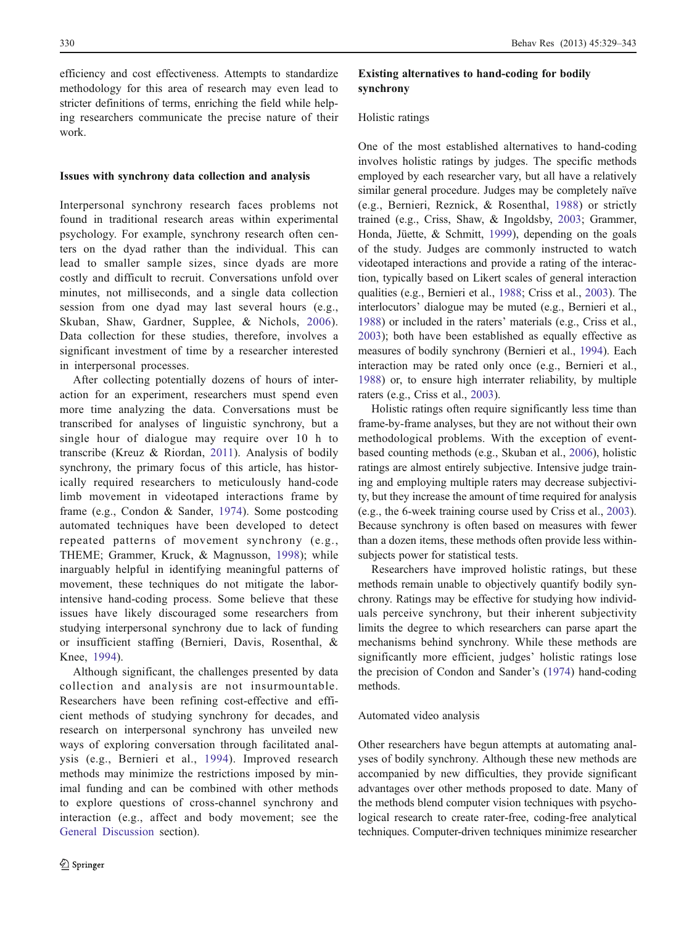efficiency and cost effectiveness. Attempts to standardize methodology for this area of research may even lead to stricter definitions of terms, enriching the field while helping researchers communicate the precise nature of their work.

## Issues with synchrony data collection and analysis

Interpersonal synchrony research faces problems not found in traditional research areas within experimental psychology. For example, synchrony research often centers on the dyad rather than the individual. This can lead to smaller sample sizes, since dyads are more costly and difficult to recruit. Conversations unfold over minutes, not milliseconds, and a single data collection session from one dyad may last several hours (e.g., Skuban, Shaw, Gardner, Supplee, & Nichols, [2006](#page-14-0)). Data collection for these studies, therefore, involves a significant investment of time by a researcher interested in interpersonal processes.

After collecting potentially dozens of hours of interaction for an experiment, researchers must spend even more time analyzing the data. Conversations must be transcribed for analyses of linguistic synchrony, but a single hour of dialogue may require over 10 h to transcribe (Kreuz & Riordan, [2011\)](#page-13-0). Analysis of bodily synchrony, the primary focus of this article, has historically required researchers to meticulously hand-code limb movement in videotaped interactions frame by frame (e.g., Condon & Sander, [1974](#page-13-0)). Some postcoding automated techniques have been developed to detect repeated patterns of movement synchrony (e.g., THEME; Grammer, Kruck, & Magnusson, [1998](#page-13-0)); while inarguably helpful in identifying meaningful patterns of movement, these techniques do not mitigate the laborintensive hand-coding process. Some believe that these issues have likely discouraged some researchers from studying interpersonal synchrony due to lack of funding or insufficient staffing (Bernieri, Davis, Rosenthal, & Knee, [1994\)](#page-13-0).

Although significant, the challenges presented by data collection and analysis are not insurmountable. Researchers have been refining cost-effective and efficient methods of studying synchrony for decades, and research on interpersonal synchrony has unveiled new ways of exploring conversation through facilitated analysis (e.g., Bernieri et al., [1994\)](#page-13-0). Improved research methods may minimize the restrictions imposed by minimal funding and can be combined with other methods to explore questions of cross-channel synchrony and interaction (e.g., affect and body movement; see the [General Discussion](#page-7-0) section).

# Existing alternatives to hand-coding for bodily synchrony

## Holistic ratings

One of the most established alternatives to hand-coding involves holistic ratings by judges. The specific methods employed by each researcher vary, but all have a relatively similar general procedure. Judges may be completely naïve (e.g., Bernieri, Reznick, & Rosenthal, [1988\)](#page-13-0) or strictly trained (e.g., Criss, Shaw, & Ingoldsby, [2003](#page-13-0); Grammer, Honda, Jüette, & Schmitt, [1999\)](#page-13-0), depending on the goals of the study. Judges are commonly instructed to watch videotaped interactions and provide a rating of the interaction, typically based on Likert scales of general interaction qualities (e.g., Bernieri et al., [1988](#page-13-0); Criss et al., [2003](#page-13-0)). The interlocutors' dialogue may be muted (e.g., Bernieri et al., [1988](#page-13-0)) or included in the raters' materials (e.g., Criss et al., [2003](#page-13-0)); both have been established as equally effective as measures of bodily synchrony (Bernieri et al., [1994](#page-13-0)). Each interaction may be rated only once (e.g., Bernieri et al., [1988](#page-13-0)) or, to ensure high interrater reliability, by multiple raters (e.g., Criss et al., [2003](#page-13-0)).

Holistic ratings often require significantly less time than frame-by-frame analyses, but they are not without their own methodological problems. With the exception of eventbased counting methods (e.g., Skuban et al., [2006\)](#page-14-0), holistic ratings are almost entirely subjective. Intensive judge training and employing multiple raters may decrease subjectivity, but they increase the amount of time required for analysis (e.g., the 6-week training course used by Criss et al., [2003\)](#page-13-0). Because synchrony is often based on measures with fewer than a dozen items, these methods often provide less withinsubjects power for statistical tests.

Researchers have improved holistic ratings, but these methods remain unable to objectively quantify bodily synchrony. Ratings may be effective for studying how individuals perceive synchrony, but their inherent subjectivity limits the degree to which researchers can parse apart the mechanisms behind synchrony. While these methods are significantly more efficient, judges' holistic ratings lose the precision of Condon and Sander's ([1974\)](#page-13-0) hand-coding methods.

## Automated video analysis

Other researchers have begun attempts at automating analyses of bodily synchrony. Although these new methods are accompanied by new difficulties, they provide significant advantages over other methods proposed to date. Many of the methods blend computer vision techniques with psychological research to create rater-free, coding-free analytical techniques. Computer-driven techniques minimize researcher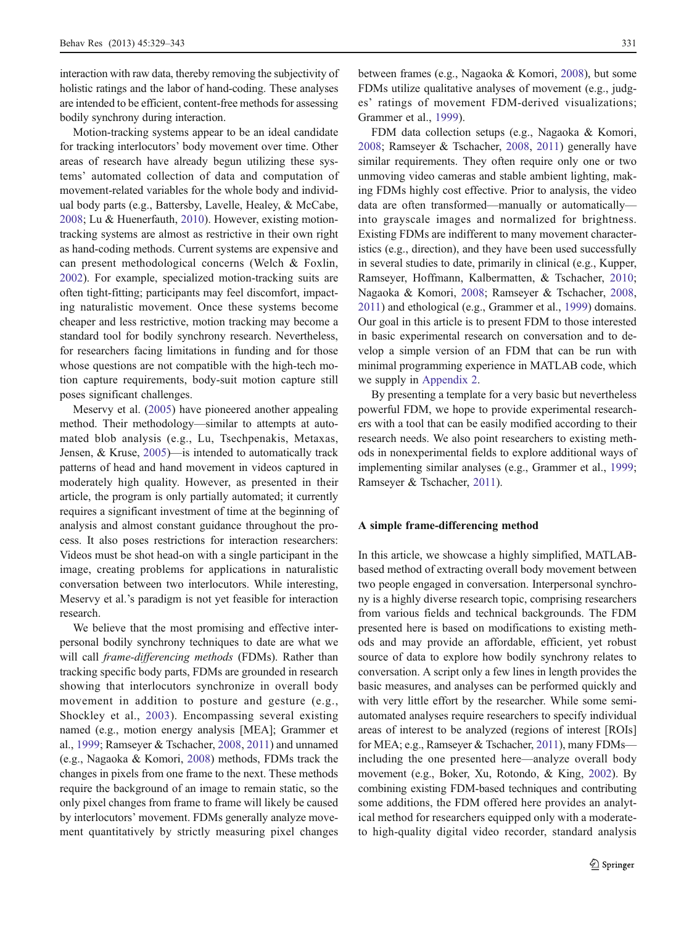interaction with raw data, thereby removing the subjectivity of holistic ratings and the labor of hand-coding. These analyses are intended to be efficient, content-free methods for assessing bodily synchrony during interaction.

Motion-tracking systems appear to be an ideal candidate for tracking interlocutors' body movement over time. Other areas of research have already begun utilizing these systems' automated collection of data and computation of movement-related variables for the whole body and individual body parts (e.g., Battersby, Lavelle, Healey, & McCabe, [2008;](#page-13-0) Lu & Huenerfauth, [2010\)](#page-13-0). However, existing motiontracking systems are almost as restrictive in their own right as hand-coding methods. Current systems are expensive and can present methodological concerns (Welch & Foxlin, [2002\)](#page-14-0). For example, specialized motion-tracking suits are often tight-fitting; participants may feel discomfort, impacting naturalistic movement. Once these systems become cheaper and less restrictive, motion tracking may become a standard tool for bodily synchrony research. Nevertheless, for researchers facing limitations in funding and for those whose questions are not compatible with the high-tech motion capture requirements, body-suit motion capture still poses significant challenges.

Meservy et al. ([2005\)](#page-13-0) have pioneered another appealing method. Their methodology—similar to attempts at automated blob analysis (e.g., Lu, Tsechpenakis, Metaxas, Jensen, & Kruse, [2005\)](#page-13-0)—is intended to automatically track patterns of head and hand movement in videos captured in moderately high quality. However, as presented in their article, the program is only partially automated; it currently requires a significant investment of time at the beginning of analysis and almost constant guidance throughout the process. It also poses restrictions for interaction researchers: Videos must be shot head-on with a single participant in the image, creating problems for applications in naturalistic conversation between two interlocutors. While interesting, Meservy et al.'s paradigm is not yet feasible for interaction research.

We believe that the most promising and effective interpersonal bodily synchrony techniques to date are what we will call *frame-differencing methods* (FDMs). Rather than tracking specific body parts, FDMs are grounded in research showing that interlocutors synchronize in overall body movement in addition to posture and gesture (e.g., Shockley et al., [2003\)](#page-14-0). Encompassing several existing named (e.g., motion energy analysis [MEA]; Grammer et al., [1999](#page-13-0); Ramseyer & Tschacher, [2008](#page-13-0), [2011\)](#page-13-0) and unnamed (e.g., Nagaoka & Komori, [2008](#page-13-0)) methods, FDMs track the changes in pixels from one frame to the next. These methods require the background of an image to remain static, so the only pixel changes from frame to frame will likely be caused by interlocutors' movement. FDMs generally analyze movement quantitatively by strictly measuring pixel changes

between frames (e.g., Nagaoka & Komori, [2008](#page-13-0)), but some FDMs utilize qualitative analyses of movement (e.g., judges' ratings of movement FDM-derived visualizations; Grammer et al., [1999\)](#page-13-0).

FDM data collection setups (e.g., Nagaoka & Komori, [2008](#page-13-0); Ramseyer & Tschacher, [2008,](#page-13-0) [2011](#page-13-0)) generally have similar requirements. They often require only one or two unmoving video cameras and stable ambient lighting, making FDMs highly cost effective. Prior to analysis, the video data are often transformed—manually or automatically into grayscale images and normalized for brightness. Existing FDMs are indifferent to many movement characteristics (e.g., direction), and they have been used successfully in several studies to date, primarily in clinical (e.g., Kupper, Ramseyer, Hoffmann, Kalbermatten, & Tschacher, [2010;](#page-13-0) Nagaoka & Komori, [2008](#page-13-0); Ramseyer & Tschacher, [2008,](#page-13-0) [2011\)](#page-13-0) and ethological (e.g., Grammer et al., [1999](#page-13-0)) domains. Our goal in this article is to present FDM to those interested in basic experimental research on conversation and to develop a simple version of an FDM that can be run with minimal programming experience in MATLAB code, which we supply in [Appendix 2](#page-11-0).

By presenting a template for a very basic but nevertheless powerful FDM, we hope to provide experimental researchers with a tool that can be easily modified according to their research needs. We also point researchers to existing methods in nonexperimental fields to explore additional ways of implementing similar analyses (e.g., Grammer et al., [1999;](#page-13-0) Ramseyer & Tschacher, [2011](#page-13-0)).

# A simple frame-differencing method

In this article, we showcase a highly simplified, MATLABbased method of extracting overall body movement between two people engaged in conversation. Interpersonal synchrony is a highly diverse research topic, comprising researchers from various fields and technical backgrounds. The FDM presented here is based on modifications to existing methods and may provide an affordable, efficient, yet robust source of data to explore how bodily synchrony relates to conversation. A script only a few lines in length provides the basic measures, and analyses can be performed quickly and with very little effort by the researcher. While some semiautomated analyses require researchers to specify individual areas of interest to be analyzed (regions of interest [ROIs] for MEA; e.g., Ramseyer & Tschacher, [2011\)](#page-13-0), many FDMs including the one presented here—analyze overall body movement (e.g., Boker, Xu, Rotondo, & King, [2002\)](#page-13-0). By combining existing FDM-based techniques and contributing some additions, the FDM offered here provides an analytical method for researchers equipped only with a moderateto high-quality digital video recorder, standard analysis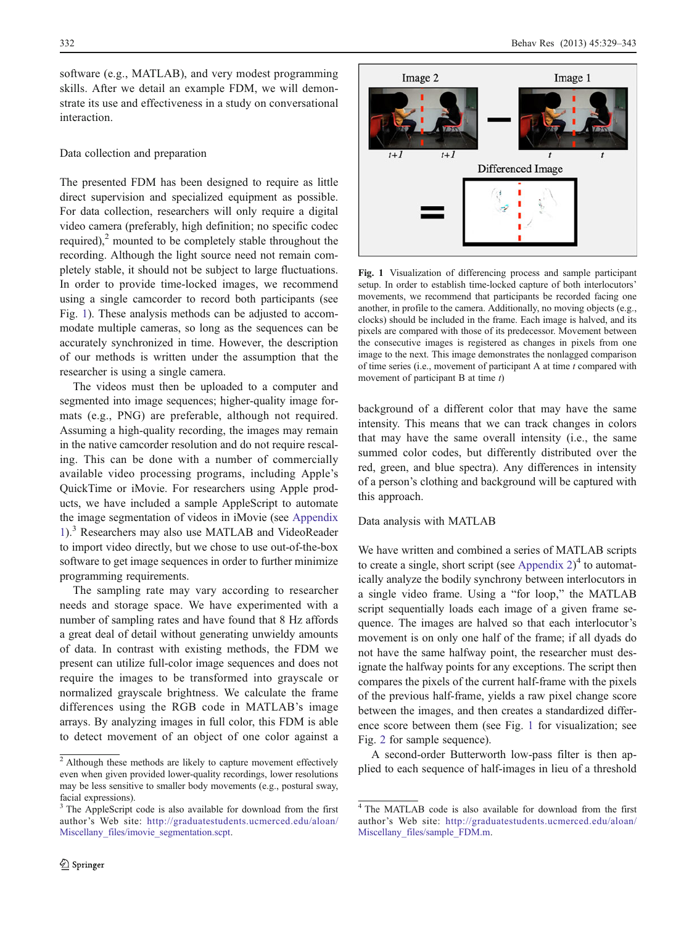<span id="page-3-0"></span>software (e.g., MATLAB), and very modest programming skills. After we detail an example FDM, we will demonstrate its use and effectiveness in a study on conversational interaction.

## Data collection and preparation

The presented FDM has been designed to require as little direct supervision and specialized equipment as possible. For data collection, researchers will only require a digital video camera (preferably, high definition; no specific codec required), $\frac{2}{3}$  mounted to be completely stable throughout the recording. Although the light source need not remain completely stable, it should not be subject to large fluctuations. In order to provide time-locked images, we recommend using a single camcorder to record both participants (see Fig. 1). These analysis methods can be adjusted to accommodate multiple cameras, so long as the sequences can be accurately synchronized in time. However, the description of our methods is written under the assumption that the researcher is using a single camera.

The videos must then be uploaded to a computer and segmented into image sequences; higher-quality image formats (e.g., PNG) are preferable, although not required. Assuming a high-quality recording, the images may remain in the native camcorder resolution and do not require rescaling. This can be done with a number of commercially available video processing programs, including Apple's QuickTime or iMovie. For researchers using Apple products, we have included a sample AppleScript to automate the image segmentation of videos in iMovie (see [Appendix](#page-9-0) [1](#page-9-0)).<sup>3</sup> Researchers may also use MATLAB and VideoReader to import video directly, but we chose to use out-of-the-box software to get image sequences in order to further minimize programming requirements.

The sampling rate may vary according to researcher needs and storage space. We have experimented with a number of sampling rates and have found that 8 Hz affords a great deal of detail without generating unwieldy amounts of data. In contrast with existing methods, the FDM we present can utilize full-color image sequences and does not require the images to be transformed into grayscale or normalized grayscale brightness. We calculate the frame differences using the RGB code in MATLAB's image arrays. By analyzing images in full color, this FDM is able to detect movement of an object of one color against a



Fig. 1 Visualization of differencing process and sample participant setup. In order to establish time-locked capture of both interlocutors' movements, we recommend that participants be recorded facing one another, in profile to the camera. Additionally, no moving objects (e.g., clocks) should be included in the frame. Each image is halved, and its pixels are compared with those of its predecessor. Movement between the consecutive images is registered as changes in pixels from one image to the next. This image demonstrates the nonlagged comparison of time series (i.e., movement of participant A at time  $t$  compared with movement of participant B at time  $t$ )

background of a different color that may have the same intensity. This means that we can track changes in colors that may have the same overall intensity (i.e., the same summed color codes, but differently distributed over the red, green, and blue spectra). Any differences in intensity of a person's clothing and background will be captured with this approach.

## Data analysis with MATLAB

We have written and combined a series of MATLAB scripts to create a single, short script (see Appendix  $2)^4$  to automatically analyze the bodily synchrony between interlocutors in a single video frame. Using a "for loop," the MATLAB script sequentially loads each image of a given frame sequence. The images are halved so that each interlocutor's movement is on only one half of the frame; if all dyads do not have the same halfway point, the researcher must designate the halfway points for any exceptions. The script then compares the pixels of the current half-frame with the pixels of the previous half-frame, yields a raw pixel change score between the images, and then creates a standardized difference score between them (see Fig. 1 for visualization; see Fig. [2](#page-4-0) for sample sequence).

A second-order Butterworth low-pass filter is then ap-<sup>2</sup> Although these methods are likely to capture movement effectively<br>plied to each sequence of half-images in lieu of a threshold<br>and 2 Although these methods are likely to capture movement effectively<br>plied to each seque

even when given provided lower-quality recordings, lower resolutions may be less sensitive to smaller body movements (e.g., postural sway, facial expressions).

<sup>&</sup>lt;sup>3</sup> The AppleScript code is also available for download from the first author's Web site: [http://graduatestudents.ucmerced.edu/aloan/](http://graduatestudents.ucmerced.edu/aloan/Miscellany_files/imovie_segmentation.scpt) Miscellany files/imovie\_segmentation.scpt.

<sup>4</sup> The MATLAB code is also available for download from the first author's Web site: [http://graduatestudents.ucmerced.edu/aloan/](http://graduatestudents.ucmerced.edu/aloan/Miscellany_files/sample_FDM.m) [Miscellany\\_files/sample\\_FDM.m](http://graduatestudents.ucmerced.edu/aloan/Miscellany_files/sample_FDM.m).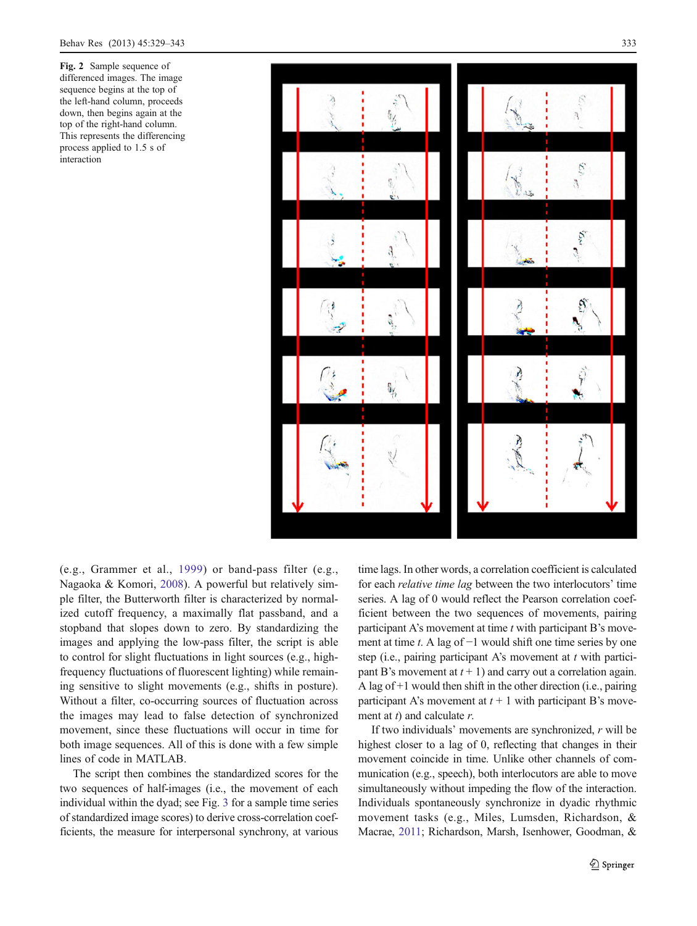<span id="page-4-0"></span>Fig. 2 Sample sequence of differenced images. The image sequence begins at the top of the left-hand column, proceeds down, then begins again at the top of the right-hand column. This represents the differencing process applied to 1.5 s of interaction



(e.g., Grammer et al., [1999](#page-13-0)) or band-pass filter (e.g., Nagaoka & Komori, [2008\)](#page-13-0). A powerful but relatively simple filter, the Butterworth filter is characterized by normalized cutoff frequency, a maximally flat passband, and a stopband that slopes down to zero. By standardizing the images and applying the low-pass filter, the script is able to control for slight fluctuations in light sources (e.g., highfrequency fluctuations of fluorescent lighting) while remaining sensitive to slight movements (e.g., shifts in posture). Without a filter, co-occurring sources of fluctuation across the images may lead to false detection of synchronized movement, since these fluctuations will occur in time for both image sequences. All of this is done with a few simple lines of code in MATLAB.

The script then combines the standardized scores for the two sequences of half-images (i.e., the movement of each individual within the dyad; see Fig. [3](#page-5-0) for a sample time series of standardized image scores) to derive cross-correlation coefficients, the measure for interpersonal synchrony, at various time lags. In other words, a correlation coefficient is calculated for each relative time lag between the two interlocutors' time series. A lag of 0 would reflect the Pearson correlation coefficient between the two sequences of movements, pairing participant A's movement at time  $t$  with participant B's movement at time  $t$ . A lag of  $-1$  would shift one time series by one step (i.e., pairing participant A's movement at  $t$  with participant B's movement at  $t + 1$ ) and carry out a correlation again. A lag of +1 would then shift in the other direction (i.e., pairing participant A's movement at  $t + 1$  with participant B's movement at  $t$ ) and calculate  $r$ .

If two individuals' movements are synchronized, r will be highest closer to a lag of 0, reflecting that changes in their movement coincide in time. Unlike other channels of communication (e.g., speech), both interlocutors are able to move simultaneously without impeding the flow of the interaction. Individuals spontaneously synchronize in dyadic rhythmic movement tasks (e.g., Miles, Lumsden, Richardson, & Macrae, [2011](#page-13-0); Richardson, Marsh, Isenhower, Goodman, &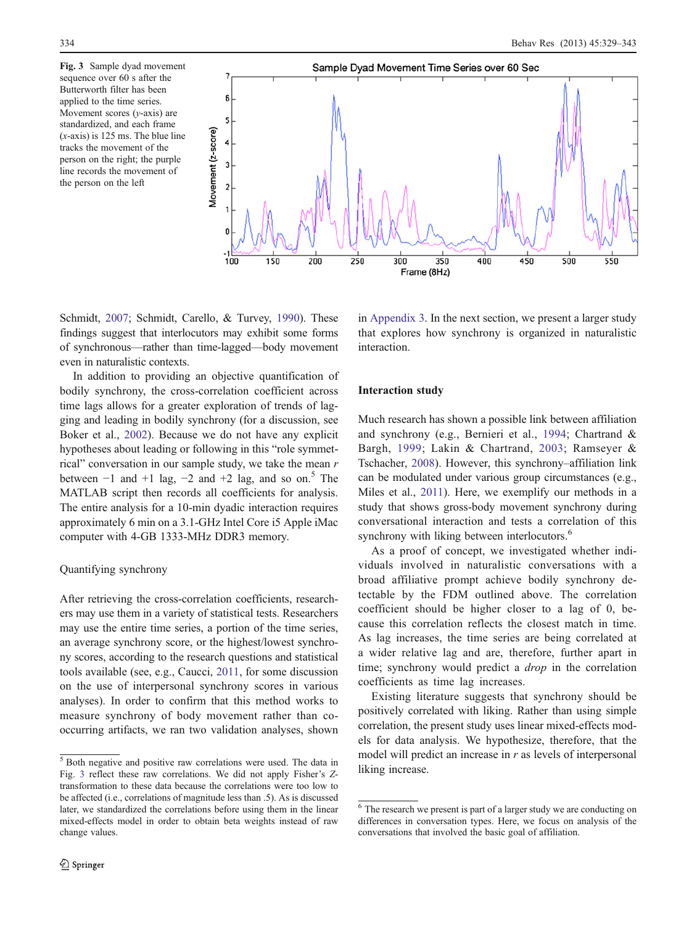<span id="page-5-0"></span>Fig. 3 Sample dyad movement sequence over 60 s after the Butterworth filter has been applied to the time series. Movement scores  $(y-axis)$  are standardized, and each frame  $(x-axis)$  is 125 ms. The blue line tracks the movement of the person on the right; the purple line records the movement of the person on the left



Schmidt, [2007;](#page-13-0) Schmidt, Carello, & Turvey, [1990](#page-13-0)). These findings suggest that interlocutors may exhibit some forms of synchronous—rather than time-lagged—body movement even in naturalistic contexts.

In addition to providing an objective quantification of bodily synchrony, the cross-correlation coefficient across time lags allows for a greater exploration of trends of lagging and leading in bodily synchrony (for a discussion, see Boker et al., [2002](#page-13-0)). Because we do not have any explicit hypotheses about leading or following in this "role symmetrical" conversation in our sample study, we take the mean  $r$ between  $-1$  and  $+1$  lag,  $-2$  and  $+2$  lag, and so on.<sup>5</sup> The MATLAB script then records all coefficients for analysis. The entire analysis for a 10-min dyadic interaction requires approximately 6 min on a 3.1-GHz Intel Core i5 Apple iMac computer with 4-GB 1333-MHz DDR3 memory.

# Quantifying synchrony

After retrieving the cross-correlation coefficients, researchers may use them in a variety of statistical tests. Researchers may use the entire time series, a portion of the time series, an average synchrony score, or the highest/lowest synchrony scores, according to the research questions and statistical tools available (see, e.g., Caucci, [2011,](#page-13-0) for some discussion on the use of interpersonal synchrony scores in various analyses). In order to confirm that this method works to measure synchrony of body movement rather than cooccurring artifacts, we ran two validation analyses, shown in [Appendix 3](#page-11-0). In the next section, we present a larger study that explores how synchrony is organized in naturalistic interaction.

# Interaction study

Much research has shown a possible link between affiliation and synchrony (e.g., Bernieri et al., [1994](#page-13-0); Chartrand & Bargh, [1999;](#page-13-0) Lakin & Chartrand, [2003;](#page-13-0) Ramseyer & Tschacher, [2008\)](#page-13-0). However, this synchrony–affiliation link can be modulated under various group circumstances (e.g., Miles et al., [2011](#page-13-0)). Here, we exemplify our methods in a study that shows gross-body movement synchrony during conversational interaction and tests a correlation of this synchrony with liking between interlocutors.<sup>6</sup>

As a proof of concept, we investigated whether individuals involved in naturalistic conversations with a broad affiliative prompt achieve bodily synchrony detectable by the FDM outlined above. The correlation coefficient should be higher closer to a lag of 0, because this correlation reflects the closest match in time. As lag increases, the time series are being correlated at a wider relative lag and are, therefore, further apart in time; synchrony would predict a *drop* in the correlation coefficients as time lag increases.

Existing literature suggests that synchrony should be positively correlated with liking. Rather than using simple correlation, the present study uses linear mixed-effects models for data analysis. We hypothesize, therefore, that the model will predict an increase in  $r$  as levels of interpersonal liking increase.

<sup>5</sup> Both negative and positive raw correlations were used. The data in Fig. 3 reflect these raw correlations. We did not apply Fisher's Ztransformation to these data because the correlations were too low to be affected (i.e., correlations of magnitude less than .5). As is discussed later, we standardized the correlations before using them in the linear mixed-effects model in order to obtain beta weights instead of raw change values.

<sup>&</sup>lt;sup>6</sup> The research we present is part of a larger study we are conducting on differences in conversation types. Here, we focus on analysis of the conversations that involved the basic goal of affiliation.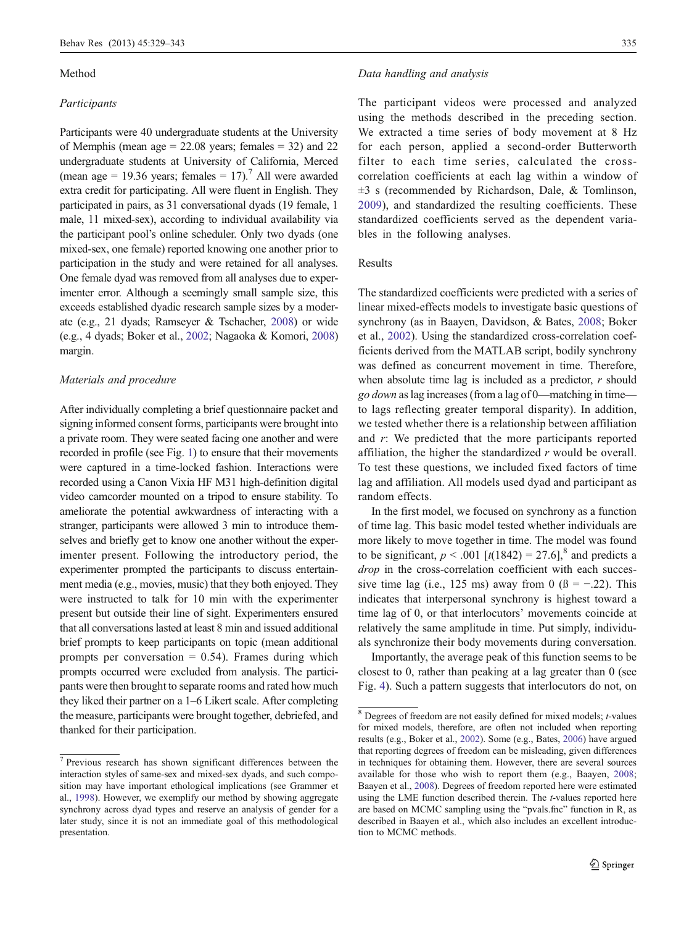## Method

## Participants

Participants were 40 undergraduate students at the University of Memphis (mean age  $= 22.08$  years; females  $= 32$ ) and 22 undergraduate students at University of California, Merced (mean age = 19.36 years; females = 17).<sup>7</sup> All were awarded extra credit for participating. All were fluent in English. They participated in pairs, as 31 conversational dyads (19 female, 1 male, 11 mixed-sex), according to individual availability via the participant pool's online scheduler. Only two dyads (one mixed-sex, one female) reported knowing one another prior to participation in the study and were retained for all analyses. One female dyad was removed from all analyses due to experimenter error. Although a seemingly small sample size, this exceeds established dyadic research sample sizes by a moderate (e.g., 21 dyads; Ramseyer & Tschacher, [2008\)](#page-13-0) or wide (e.g., 4 dyads; Boker et al., [2002](#page-13-0); Nagaoka & Komori, [2008\)](#page-13-0) margin.

#### Materials and procedure

After individually completing a brief questionnaire packet and signing informed consent forms, participants were brought into a private room. They were seated facing one another and were recorded in profile (see Fig. [1\)](#page-3-0) to ensure that their movements were captured in a time-locked fashion. Interactions were recorded using a Canon Vixia HF M31 high-definition digital video camcorder mounted on a tripod to ensure stability. To ameliorate the potential awkwardness of interacting with a stranger, participants were allowed 3 min to introduce themselves and briefly get to know one another without the experimenter present. Following the introductory period, the experimenter prompted the participants to discuss entertainment media (e.g., movies, music) that they both enjoyed. They were instructed to talk for 10 min with the experimenter present but outside their line of sight. Experimenters ensured that all conversations lasted at least 8 min and issued additional brief prompts to keep participants on topic (mean additional prompts per conversation  $= 0.54$ ). Frames during which prompts occurred were excluded from analysis. The participants were then brought to separate rooms and rated how much they liked their partner on a 1–6 Likert scale. After completing the measure, participants were brought together, debriefed, and thanked for their participation.

#### Data handling and analysis

The participant videos were processed and analyzed using the methods described in the preceding section. We extracted a time series of body movement at 8 Hz for each person, applied a second-order Butterworth filter to each time series, calculated the crosscorrelation coefficients at each lag within a window of  $\pm 3$  s (recommended by Richardson, Dale, & Tomlinson, [2009](#page-13-0)), and standardized the resulting coefficients. These standardized coefficients served as the dependent variables in the following analyses.

# Results

The standardized coefficients were predicted with a series of linear mixed-effects models to investigate basic questions of synchrony (as in Baayen, Davidson, & Bates, [2008](#page-13-0); Boker et al., [2002](#page-13-0)). Using the standardized cross-correlation coefficients derived from the MATLAB script, bodily synchrony was defined as concurrent movement in time. Therefore, when absolute time lag is included as a predictor, r should go down as lag increases (from a lag of 0—matching in time to lags reflecting greater temporal disparity). In addition, we tested whether there is a relationship between affiliation and r: We predicted that the more participants reported affiliation, the higher the standardized  $r$  would be overall. To test these questions, we included fixed factors of time lag and affiliation. All models used dyad and participant as random effects.

In the first model, we focused on synchrony as a function of time lag. This basic model tested whether individuals are more likely to move together in time. The model was found to be significant,  $p < .001$  [t(1842) = 27.6],<sup>8</sup> and predicts a drop in the cross-correlation coefficient with each successive time lag (i.e., 125 ms) away from 0 ( $\beta = -.22$ ). This indicates that interpersonal synchrony is highest toward a time lag of 0, or that interlocutors' movements coincide at relatively the same amplitude in time. Put simply, individuals synchronize their body movements during conversation.

Importantly, the average peak of this function seems to be closest to 0, rather than peaking at a lag greater than 0 (see Fig. [4](#page-8-0)). Such a pattern suggests that interlocutors do not, on

<sup>7</sup> Previous research has shown significant differences between the interaction styles of same-sex and mixed-sex dyads, and such composition may have important ethological implications (see Grammer et al., [1998\)](#page-13-0). However, we exemplify our method by showing aggregate synchrony across dyad types and reserve an analysis of gender for a later study, since it is not an immediate goal of this methodological presentation.

 $8$  Degrees of freedom are not easily defined for mixed models;  $t$ -values for mixed models, therefore, are often not included when reporting results (e.g., Boker et al., [2002](#page-13-0)). Some (e.g., Bates, [2006](#page-13-0)) have argued that reporting degrees of freedom can be misleading, given differences in techniques for obtaining them. However, there are several sources available for those who wish to report them (e.g., Baayen, [2008;](#page-13-0) Baayen et al., [2008](#page-13-0)). Degrees of freedom reported here were estimated using the LME function described therein. The t-values reported here are based on MCMC sampling using the "pvals.fnc" function in R, as described in Baayen et al., which also includes an excellent introduction to MCMC methods.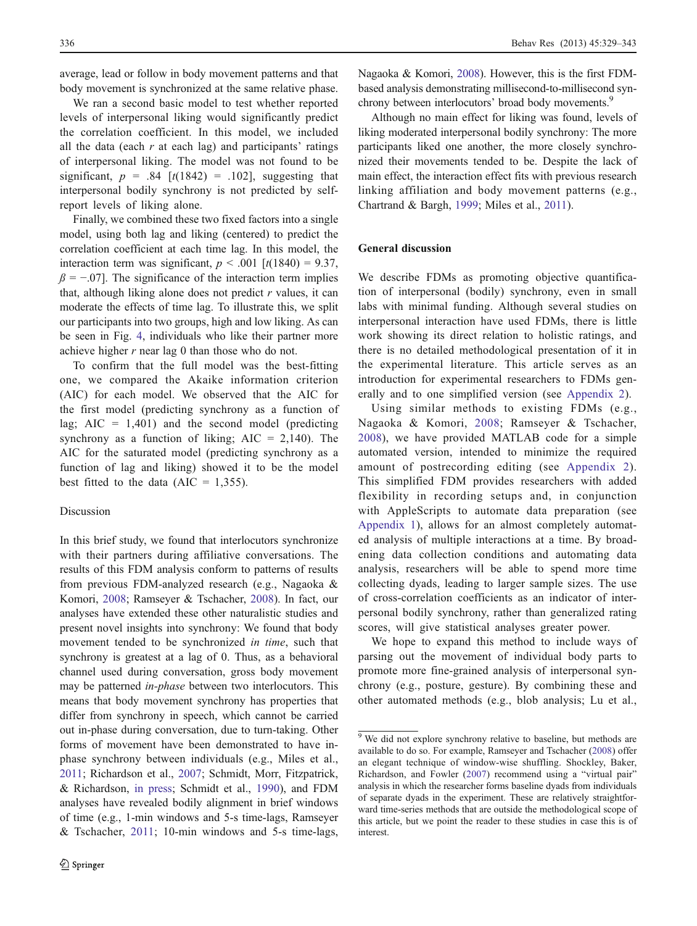<span id="page-7-0"></span>average, lead or follow in body movement patterns and that body movement is synchronized at the same relative phase.

We ran a second basic model to test whether reported levels of interpersonal liking would significantly predict the correlation coefficient. In this model, we included all the data (each  $r$  at each lag) and participants' ratings of interpersonal liking. The model was not found to be significant,  $p = .84$  [t(1842) = .102], suggesting that interpersonal bodily synchrony is not predicted by selfreport levels of liking alone.

Finally, we combined these two fixed factors into a single model, using both lag and liking (centered) to predict the correlation coefficient at each time lag. In this model, the interaction term was significant,  $p < .001$  [t(1840) = 9.37,  $\beta$  = -.07]. The significance of the interaction term implies that, although liking alone does not predict  $r$  values, it can moderate the effects of time lag. To illustrate this, we split our participants into two groups, high and low liking. As can be seen in Fig. [4,](#page-8-0) individuals who like their partner more achieve higher  $r$  near lag 0 than those who do not.

To confirm that the full model was the best-fitting one, we compared the Akaike information criterion (AIC) for each model. We observed that the AIC for the first model (predicting synchrony as a function of lag;  $AIC = 1,401$ ) and the second model (predicting synchrony as a function of liking; AIC = 2,140). The AIC for the saturated model (predicting synchrony as a function of lag and liking) showed it to be the model best fitted to the data (AIC =  $1,355$ ).

# Discussion

In this brief study, we found that interlocutors synchronize with their partners during affiliative conversations. The results of this FDM analysis conform to patterns of results from previous FDM-analyzed research (e.g., Nagaoka & Komori, [2008;](#page-13-0) Ramseyer & Tschacher, [2008](#page-13-0)). In fact, our analyses have extended these other naturalistic studies and present novel insights into synchrony: We found that body movement tended to be synchronized in time, such that synchrony is greatest at a lag of 0. Thus, as a behavioral channel used during conversation, gross body movement may be patterned in-phase between two interlocutors. This means that body movement synchrony has properties that differ from synchrony in speech, which cannot be carried out in-phase during conversation, due to turn-taking. Other forms of movement have been demonstrated to have inphase synchrony between individuals (e.g., Miles et al., [2011;](#page-13-0) Richardson et al., [2007](#page-13-0); Schmidt, Morr, Fitzpatrick, & Richardson, [in press](#page-14-0); Schmidt et al., [1990](#page-13-0)), and FDM analyses have revealed bodily alignment in brief windows of time (e.g., 1-min windows and 5-s time-lags, Ramseyer & Tschacher, [2011;](#page-13-0) 10-min windows and 5-s time-lags,

Nagaoka & Komori, [2008](#page-13-0)). However, this is the first FDMbased analysis demonstrating millisecond-to-millisecond synchrony between interlocutors' broad body movements.<sup>9</sup>

Although no main effect for liking was found, levels of liking moderated interpersonal bodily synchrony: The more participants liked one another, the more closely synchronized their movements tended to be. Despite the lack of main effect, the interaction effect fits with previous research linking affiliation and body movement patterns (e.g., Chartrand & Bargh, [1999;](#page-13-0) Miles et al., [2011\)](#page-13-0).

# General discussion

We describe FDMs as promoting objective quantification of interpersonal (bodily) synchrony, even in small labs with minimal funding. Although several studies on interpersonal interaction have used FDMs, there is little work showing its direct relation to holistic ratings, and there is no detailed methodological presentation of it in the experimental literature. This article serves as an introduction for experimental researchers to FDMs generally and to one simplified version (see [Appendix 2](#page-11-0)).

Using similar methods to existing FDMs (e.g., Nagaoka & Komori, [2008](#page-13-0); Ramseyer & Tschacher, [2008](#page-13-0)), we have provided MATLAB code for a simple automated version, intended to minimize the required amount of postrecording editing (see [Appendix 2](#page-11-0)). This simplified FDM provides researchers with added flexibility in recording setups and, in conjunction with AppleScripts to automate data preparation (see [Appendix 1\)](#page-9-0), allows for an almost completely automated analysis of multiple interactions at a time. By broadening data collection conditions and automating data analysis, researchers will be able to spend more time collecting dyads, leading to larger sample sizes. The use of cross-correlation coefficients as an indicator of interpersonal bodily synchrony, rather than generalized rating scores, will give statistical analyses greater power.

We hope to expand this method to include ways of parsing out the movement of individual body parts to promote more fine-grained analysis of interpersonal synchrony (e.g., posture, gesture). By combining these and other automated methods (e.g., blob analysis; Lu et al.,

<sup>&</sup>lt;sup>9</sup> We did not explore synchrony relative to baseline, but methods are available to do so. For example, Ramseyer and Tschacher [\(2008](#page-13-0)) offer an elegant technique of window-wise shuffling. Shockley, Baker, Richardson, and Fowler ([2007\)](#page-14-0) recommend using a "virtual pair" analysis in which the researcher forms baseline dyads from individuals of separate dyads in the experiment. These are relatively straightforward time-series methods that are outside the methodological scope of this article, but we point the reader to these studies in case this is of interest.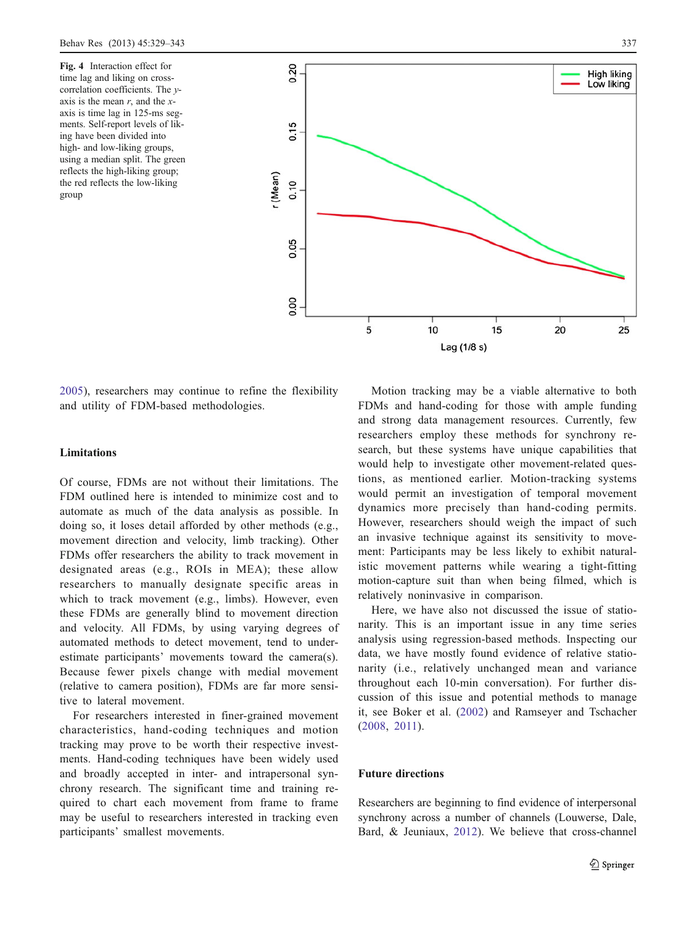<span id="page-8-0"></span>Fig. 4 Interaction effect for time lag and liking on crosscorrelation coefficients. The yaxis is the mean  $r$ , and the  $x$ axis is time lag in 125-ms segments. Self-report levels of liking have been divided into high- and low-liking groups, using a median split. The green reflects the high-liking group; the red reflects the low-liking group

[2005](#page-13-0)), researchers may continue to refine the flexibility and utility of FDM-based methodologies.

0.20

0.15

0.05

0.00

5

 $10$ 

Lag (1/8 s)

(Mean) 0.10

# Limitations

Of course, FDMs are not without their limitations. The FDM outlined here is intended to minimize cost and to automate as much of the data analysis as possible. In doing so, it loses detail afforded by other methods (e.g., movement direction and velocity, limb tracking). Other FDMs offer researchers the ability to track movement in designated areas (e.g., ROIs in MEA); these allow researchers to manually designate specific areas in which to track movement (e.g., limbs). However, even these FDMs are generally blind to movement direction and velocity. All FDMs, by using varying degrees of automated methods to detect movement, tend to underestimate participants' movements toward the camera(s). Because fewer pixels change with medial movement (relative to camera position), FDMs are far more sensitive to lateral movement.

For researchers interested in finer-grained movement characteristics, hand-coding techniques and motion tracking may prove to be worth their respective investments. Hand-coding techniques have been widely used and broadly accepted in inter- and intrapersonal synchrony research. The significant time and training required to chart each movement from frame to frame may be useful to researchers interested in tracking even participants' smallest movements.

Motion tracking may be a viable alternative to both FDMs and hand-coding for those with ample funding and strong data management resources. Currently, few researchers employ these methods for synchrony research, but these systems have unique capabilities that would help to investigate other movement-related questions, as mentioned earlier. Motion-tracking systems would permit an investigation of temporal movement dynamics more precisely than hand-coding permits. However, researchers should weigh the impact of such an invasive technique against its sensitivity to movement: Participants may be less likely to exhibit naturalistic movement patterns while wearing a tight-fitting motion-capture suit than when being filmed, which is relatively noninvasive in comparison.

15

20

Here, we have also not discussed the issue of stationarity. This is an important issue in any time series analysis using regression-based methods. Inspecting our data, we have mostly found evidence of relative stationarity (i.e., relatively unchanged mean and variance throughout each 10-min conversation). For further discussion of this issue and potential methods to manage it, see Boker et al. [\(2002\)](#page-13-0) and Ramseyer and Tschacher [\(2008,](#page-13-0) [2011\)](#page-13-0).

# Future directions

Researchers are beginning to find evidence of interpersonal synchrony across a number of channels (Louwerse, Dale, Bard, & Jeuniaux, [2012](#page-13-0)). We believe that cross-channel

25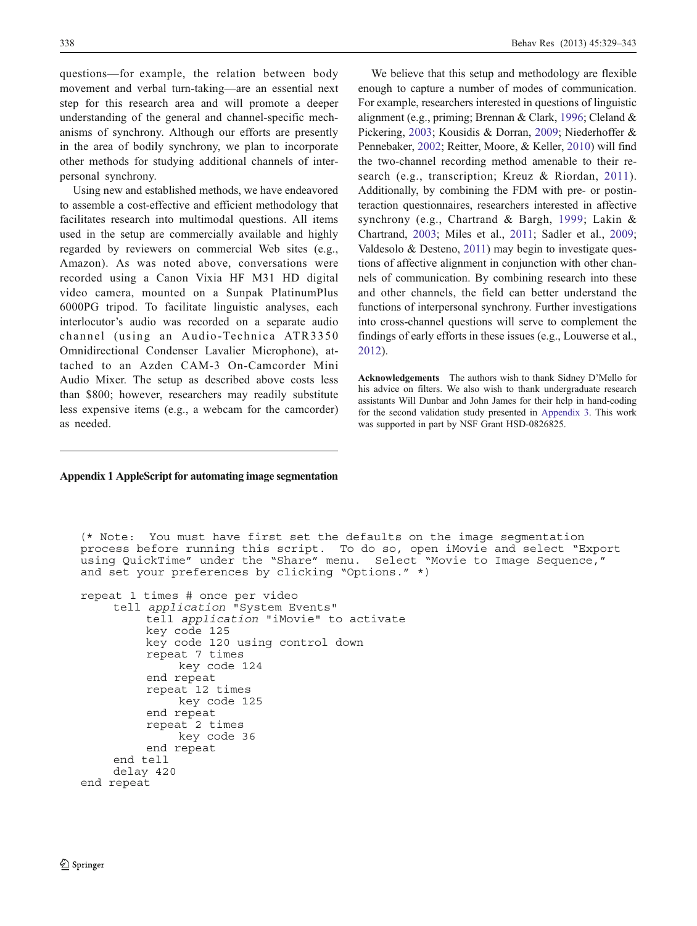<span id="page-9-0"></span>questions—for example, the relation between body movement and verbal turn-taking—are an essential next step for this research area and will promote a deeper understanding of the general and channel-specific mechanisms of synchrony. Although our efforts are presently in the area of bodily synchrony, we plan to incorporate other methods for studying additional channels of interpersonal synchrony.

Using new and established methods, we have endeavored to assemble a cost-effective and efficient methodology that facilitates research into multimodal questions. All items used in the setup are commercially available and highly regarded by reviewers on commercial Web sites (e.g., Amazon). As was noted above, conversations were recorded using a Canon Vixia HF M31 HD digital video camera, mounted on a Sunpak PlatinumPlus 6000PG tripod. To facilitate linguistic analyses, each interlocutor's audio was recorded on a separate audio channel (using an Audio-Technica ATR3350 Omnidirectional Condenser Lavalier Microphone), attached to an Azden CAM-3 On-Camcorder Mini Audio Mixer. The setup as described above costs less than \$800; however, researchers may readily substitute less expensive items (e.g., a webcam for the camcorder) as needed.

We believe that this setup and methodology are flexible enough to capture a number of modes of communication. For example, researchers interested in questions of linguistic alignment (e.g., priming; Brennan & Clark, [1996;](#page-13-0) Cleland & Pickering, [2003](#page-13-0); Kousidis & Dorran, [2009](#page-13-0); Niederhoffer & Pennebaker, [2002](#page-13-0); Reitter, Moore, & Keller, [2010\)](#page-13-0) will find the two-channel recording method amenable to their research (e.g., transcription; Kreuz & Riordan, [2011](#page-13-0)). Additionally, by combining the FDM with pre- or postinteraction questionnaires, researchers interested in affective synchrony (e.g., Chartrand & Bargh, [1999;](#page-13-0) Lakin & Chartrand, [2003](#page-13-0); Miles et al., [2011;](#page-13-0) Sadler et al., [2009;](#page-13-0) Valdesolo & Desteno, [2011\)](#page-14-0) may begin to investigate questions of affective alignment in conjunction with other channels of communication. By combining research into these and other channels, the field can better understand the functions of interpersonal synchrony. Further investigations into cross-channel questions will serve to complement the findings of early efforts in these issues (e.g., Louwerse et al., [2012](#page-13-0)).

Acknowledgements The authors wish to thank Sidney D'Mello for his advice on filters. We also wish to thank undergraduate research assistants Will Dunbar and John James for their help in hand-coding for the second validation study presented in [Appendix 3](#page-11-0). This work was supported in part by NSF Grant HSD-0826825.

#### Appendix 1 AppleScript for automating image segmentation

(\* Note: You must have first set the defaults on the image segmentation process before running this script. To do so, open iMovie and select "Export using QuickTime" under the "Share" menu. Select "Movie to Image Sequence," and set your preferences by clicking "Options." \*)

repeat 1 times # once per video tell *application* "System Events" tell *application* "iMovie" to activate key code 125 key code 120 using control down repeat 7 times key code 124 end repeat repeat 12 times key code 125 end repeat repeat 2 times key code 36 end repeat end tell delay 420 end repeat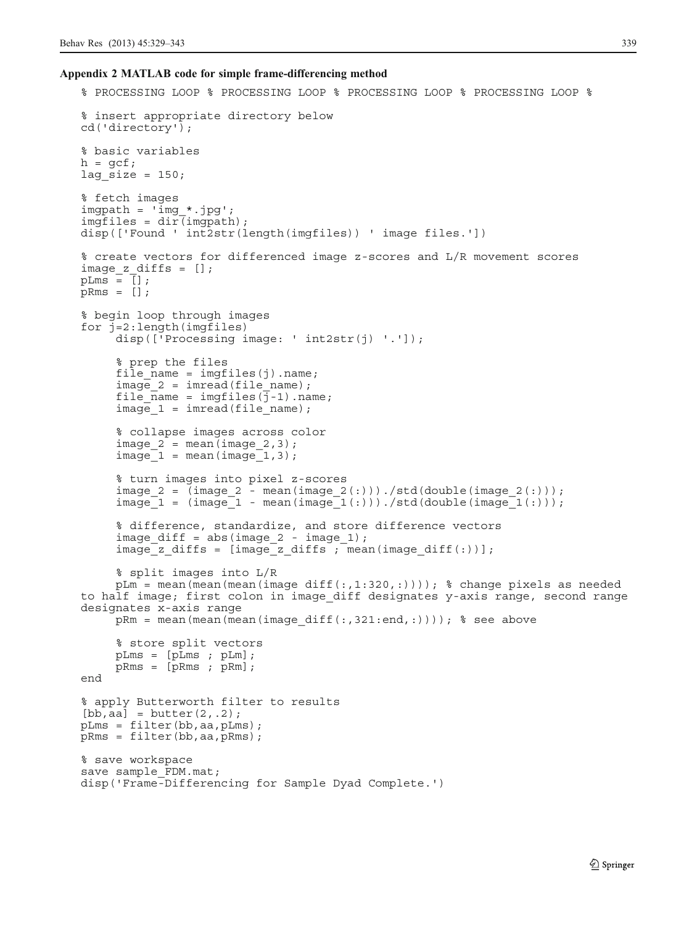#### Appendix 2 MATLAB code for simple frame-differencing method

```
% PROCESSING LOOP % PROCESSING LOOP % PROCESSING LOOP % PROCESSING LOOP % 
% insert appropriate directory below 
cd('directory'); 
% basic variables 
h = qcf;lag size = 150;% fetch images 
imgpath = 'img_*.jpg'; 
imgfiles = dir(imgpath);disp(['Found ' int2str(length(imgfiles)) ' image files.']) 
% create vectors for differenced image z-scores and L/R movement scores 
image z diffs = [];
pLms = \boxed{]};
pRms = [];
% begin loop through images 
for j=2:length(imgfiles) 
      disp(['Processing image: ' int2str(j) '.']); 
      % prep the files 
     file name = imgfiles(i) .name;image\ 2 = image imread(file name);
     file \overline{n}ame = imgfiles(\overline{j}-1).name;
     image 1 = image(<i>image</i>);
      % collapse images across color 
     image_2 = mean(image_2,3);image 1 = mean(image 1,3); % turn images into pixel z-scores 
     image 2 = (image 2 - mean(image 2(:)))./std(double(image 2(:)));
     image_1 = (image_1 - mean(image_1(:))). std(double(image_1(:)));
      % difference, standardize, and store difference vectors 
     image\_diff = abs(image_2 - image_1);image_z_diffs = [image_z_diffs]; mear(image_diff(:))];
      % split images into L/R 
      pLm = mean(mean(mean(image diff(:,1:320,:)))); % change pixels as needed 
to half image; first colon in image diff designates y-axis range, second range
designates x-axis range 
     pRm = mean(mean(mean(image diff(:,,321:end,:)))); % see above
      % store split vectors 
      pLms = [pLms ; pLm]; 
      pRms = [pRms ; pRm]; 
end 
% apply Butterworth filter to results 
[bb,aa] = butter(2,.2);pLms = filter(bb,aa,pLms); 
pRms = filter(bb,aa,pRms); 
% save workspace 
save sample_FDM.mat; 
disp('Frame-Differencing for Sample Dyad Complete.')
```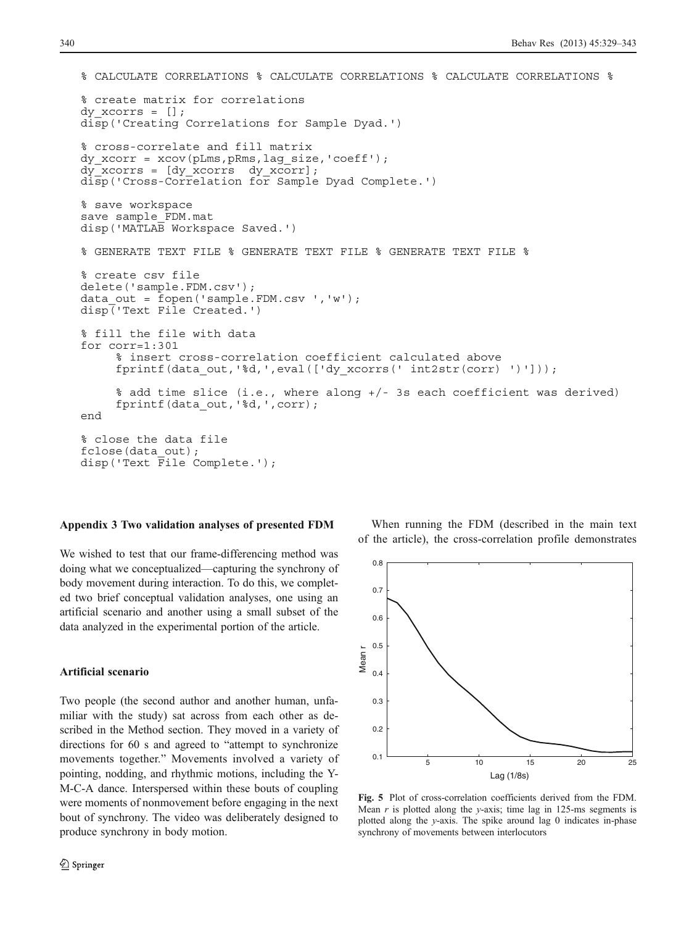```
% CALCULATE CORRELATIONS % CALCULATE CORRELATIONS % CALCULATE CORRELATIONS %
% create matrix for correlations 
dy xcorrs = [];
disp('Creating Correlations for Sample Dyad.') 
% cross-correlate and fill matrix 
dy_xcorr = xcov(pLms,pRms,lag_size,'coeff'); 
dy_x = [dy_x \circ x \circ dx, dy_x \circ dx];
disp('Cross-Correlation for Sample Dyad Complete.')
% save workspace 
save sample_FDM.mat 
disp('MATLAB Workspace Saved.') 
% GENERATE TEXT FILE % GENERATE TEXT FILE % GENERATE TEXT FILE % 
% create csv file 
delete('sample.FDM.csv'); 
data out = fopen('sample.FDM.csv ','w');
disp('Text File Created.') 
% fill the file with data 
for corr=1:301 
      % insert cross-correlation coefficient calculated above 
      fprintf(data_out,'%d,',eval(['dy_xcorrs(' int2str(corr) ')'])); 
      % add time slice (i.e., where along +/- 3s each coefficient was derived)
      fprintf(data_out,'%d,',corr); 
end 
% close the data file 
fclose(data_out); 
disp('Text File Complete.');
```
# Appendix 3 Two validation analyses of presented FDM

We wished to test that our frame-differencing method was doing what we conceptualized—capturing the synchrony of body movement during interaction. To do this, we completed two brief conceptual validation analyses, one using an artificial scenario and another using a small subset of the data analyzed in the experimental portion of the article.

# Artificial scenario

Two people (the second author and another human, unfamiliar with the study) sat across from each other as described in the Method section. They moved in a variety of directions for 60 s and agreed to "attempt to synchronize movements together." Movements involved a variety of pointing, nodding, and rhythmic motions, including the Y-M-C-A dance. Interspersed within these bouts of coupling were moments of nonmovement before engaging in the next bout of synchrony. The video was deliberately designed to produce synchrony in body motion.

When running the FDM (described in the main text of the article), the cross-correlation profile demonstrates



Fig. 5 Plot of cross-correlation coefficients derived from the FDM. Mean  $r$  is plotted along the y-axis; time lag in 125-ms segments is plotted along the  $y$ -axis. The spike around lag 0 indicates in-phase synchrony of movements between interlocutors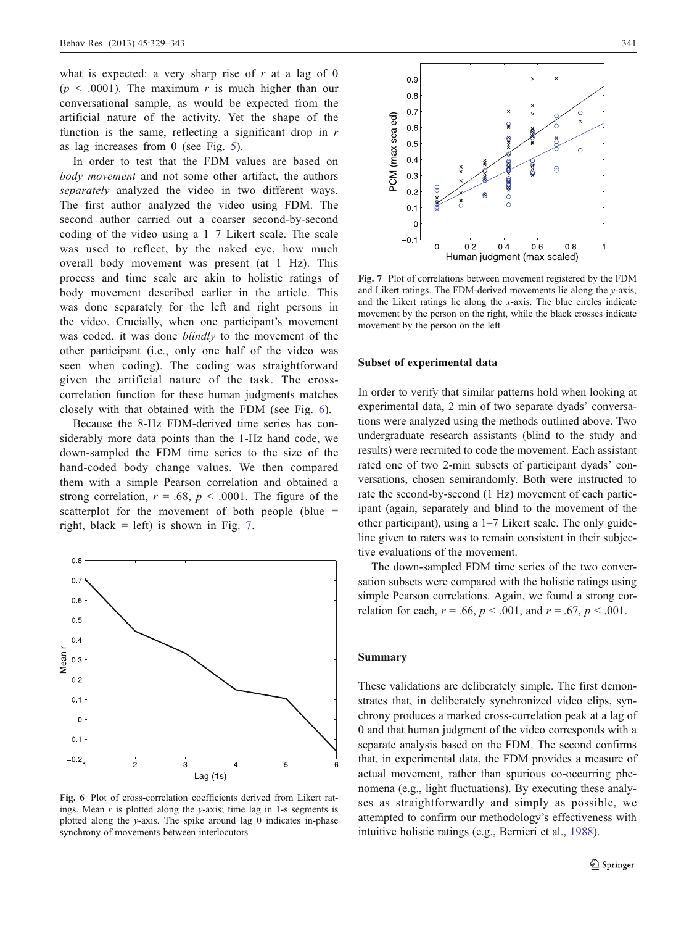what is expected: a very sharp rise of r at a lag of 0  $(p < .0001)$ . The maximum r is much higher than our conversational sample, as would be expected from the artificial nature of the activity. Yet the shape of the function is the same, reflecting a significant drop in  $r$ as lag increases from 0 (see Fig. [5](#page-11-0)).

In order to test that the FDM values are based on body movement and not some other artifact, the authors separately analyzed the video in two different ways. The first author analyzed the video using FDM. The second author carried out a coarser second-by-second coding of the video using a 1–7 Likert scale. The scale was used to reflect, by the naked eye, how much overall body movement was present (at 1 Hz). This process and time scale are akin to holistic ratings of body movement described earlier in the article. This was done separately for the left and right persons in the video. Crucially, when one participant's movement was coded, it was done *blindly* to the movement of the other participant (i.e., only one half of the video was seen when coding). The coding was straightforward given the artificial nature of the task. The crosscorrelation function for these human judgments matches closely with that obtained with the FDM (see Fig. 6).

Because the 8-Hz FDM-derived time series has considerably more data points than the 1-Hz hand code, we down-sampled the FDM time series to the size of the hand-coded body change values. We then compared them with a simple Pearson correlation and obtained a strong correlation,  $r = .68$ ,  $p < .0001$ . The figure of the scatterplot for the movement of both people (blue  $=$ right, black = left) is shown in Fig. 7.



Fig. 6 Plot of cross-correlation coefficients derived from Likert ratings. Mean  $r$  is plotted along the  $y$ -axis; time lag in 1-s segments is plotted along the  $y$ -axis. The spike around lag 0 indicates in-phase synchrony of movements between interlocutors



Fig. 7 Plot of correlations between movement registered by the FDM and Likert ratings. The FDM-derived movements lie along the y-axis, and the Likert ratings lie along the x-axis. The blue circles indicate movement by the person on the right, while the black crosses indicate movement by the person on the left

## Subset of experimental data

In order to verify that similar patterns hold when looking at experimental data, 2 min of two separate dyads' conversations were analyzed using the methods outlined above. Two undergraduate research assistants (blind to the study and results) were recruited to code the movement. Each assistant rated one of two 2-min subsets of participant dyads' conversations, chosen semirandomly. Both were instructed to rate the second-by-second (1 Hz) movement of each participant (again, separately and blind to the movement of the other participant), using a 1–7 Likert scale. The only guideline given to raters was to remain consistent in their subjective evaluations of the movement.

The down-sampled FDM time series of the two conversation subsets were compared with the holistic ratings using simple Pearson correlations. Again, we found a strong correlation for each,  $r = .66$ ,  $p < .001$ , and  $r = .67$ ,  $p < .001$ .

# Summary

These validations are deliberately simple. The first demonstrates that, in deliberately synchronized video clips, synchrony produces a marked cross-correlation peak at a lag of 0 and that human judgment of the video corresponds with a separate analysis based on the FDM. The second confirms that, in experimental data, the FDM provides a measure of actual movement, rather than spurious co-occurring phenomena (e.g., light fluctuations). By executing these analyses as straightforwardly and simply as possible, we attempted to confirm our methodology's effectiveness with intuitive holistic ratings (e.g., Bernieri et al., [1988](#page-13-0)).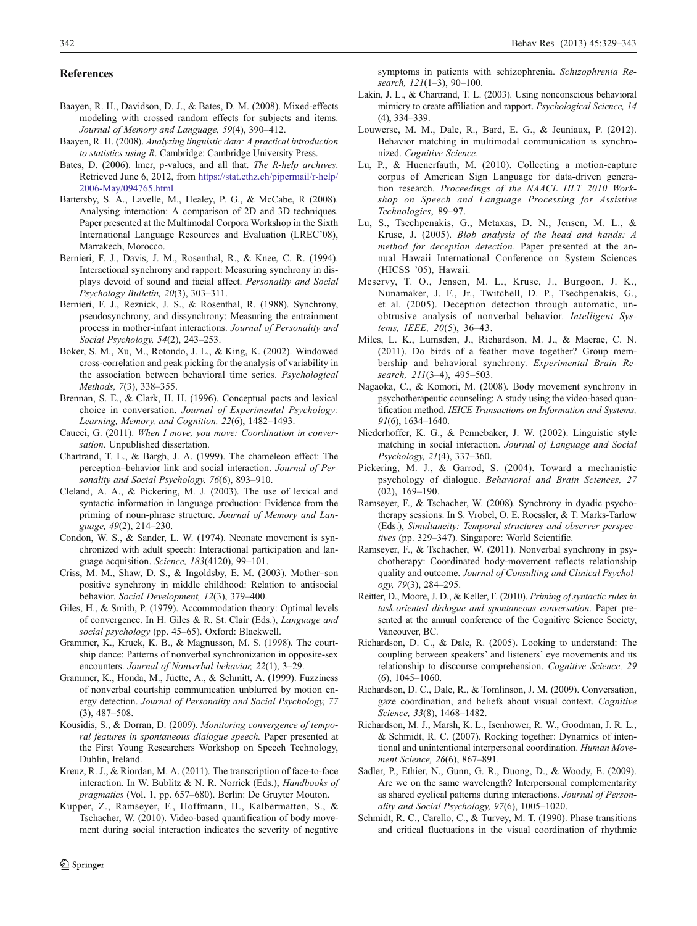#### <span id="page-13-0"></span>References

- Baayen, R. H., Davidson, D. J., & Bates, D. M. (2008). Mixed-effects modeling with crossed random effects for subjects and items. Journal of Memory and Language, 59(4), 390–412.
- Baayen, R. H. (2008). Analyzing linguistic data: A practical introduction to statistics using R. Cambridge: Cambridge University Press.
- Bates, D. (2006). lmer, p-values, and all that. The R-help archives. Retrieved June 6, 2012, from [https://stat.ethz.ch/pipermail/r-help/](https://stat.ethz.ch/pipermail/r-help/2006-May/094765.html) [2006-May/094765.html](https://stat.ethz.ch/pipermail/r-help/2006-May/094765.html)
- Battersby, S. A., Lavelle, M., Healey, P. G., & McCabe, R (2008). Analysing interaction: A comparison of 2D and 3D techniques. Paper presented at the Multimodal Corpora Workshop in the Sixth International Language Resources and Evaluation (LREC'08), Marrakech, Morocco.
- Bernieri, F. J., Davis, J. M., Rosenthal, R., & Knee, C. R. (1994). Interactional synchrony and rapport: Measuring synchrony in displays devoid of sound and facial affect. Personality and Social Psychology Bulletin, 20(3), 303–311.
- Bernieri, F. J., Reznick, J. S., & Rosenthal, R. (1988). Synchrony, pseudosynchrony, and dissynchrony: Measuring the entrainment process in mother-infant interactions. Journal of Personality and Social Psychology, 54(2), 243–253.
- Boker, S. M., Xu, M., Rotondo, J. L., & King, K. (2002). Windowed cross-correlation and peak picking for the analysis of variability in the association between behavioral time series. Psychological Methods, 7(3), 338–355.
- Brennan, S. E., & Clark, H. H. (1996). Conceptual pacts and lexical choice in conversation. Journal of Experimental Psychology: Learning, Memory, and Cognition, 22(6), 1482–1493.
- Caucci, G. (2011). When I move, you move: Coordination in conversation. Unpublished dissertation.
- Chartrand, T. L., & Bargh, J. A. (1999). The chameleon effect: The perception–behavior link and social interaction. Journal of Personality and Social Psychology, 76(6), 893–910.
- Cleland, A. A., & Pickering, M. J. (2003). The use of lexical and syntactic information in language production: Evidence from the priming of noun-phrase structure. Journal of Memory and Language, 49(2), 214–230.
- Condon, W. S., & Sander, L. W. (1974). Neonate movement is synchronized with adult speech: Interactional participation and language acquisition. Science, 183(4120), 99–101.
- Criss, M. M., Shaw, D. S., & Ingoldsby, E. M. (2003). Mother–son positive synchrony in middle childhood: Relation to antisocial behavior. Social Development, 12(3), 379–400.
- Giles, H., & Smith, P. (1979). Accommodation theory: Optimal levels of convergence. In H. Giles & R. St. Clair (Eds.), Language and social psychology (pp. 45–65). Oxford: Blackwell.
- Grammer, K., Kruck, K. B., & Magnusson, M. S. (1998). The courtship dance: Patterns of nonverbal synchronization in opposite-sex encounters. Journal of Nonverbal behavior, 22(1), 3–29.
- Grammer, K., Honda, M., Jüette, A., & Schmitt, A. (1999). Fuzziness of nonverbal courtship communication unblurred by motion energy detection. Journal of Personality and Social Psychology, 77 (3), 487–508.
- Kousidis, S., & Dorran, D. (2009). Monitoring convergence of temporal features in spontaneous dialogue speech. Paper presented at the First Young Researchers Workshop on Speech Technology, Dublin, Ireland.
- Kreuz, R. J., & Riordan, M. A. (2011). The transcription of face-to-face interaction. In W. Bublitz & N. R. Norrick (Eds.), Handbooks of pragmatics (Vol. 1, pp. 657–680). Berlin: De Gruyter Mouton.
- Kupper, Z., Ramseyer, F., Hoffmann, H., Kalbermatten, S., & Tschacher, W. (2010). Video-based quantification of body movement during social interaction indicates the severity of negative

symptoms in patients with schizophrenia. Schizophrenia Research, 121(1-3), 90-100.

- Lakin, J. L., & Chartrand, T. L. (2003). Using nonconscious behavioral mimicry to create affiliation and rapport. Psychological Science, 14 (4), 334–339.
- Louwerse, M. M., Dale, R., Bard, E. G., & Jeuniaux, P. (2012). Behavior matching in multimodal communication is synchronized. Cognitive Science.
- Lu, P., & Huenerfauth, M. (2010). Collecting a motion-capture corpus of American Sign Language for data-driven generation research. Proceedings of the NAACL HLT 2010 Workshop on Speech and Language Processing for Assistive Technologies, 89–97.
- Lu, S., Tsechpenakis, G., Metaxas, D. N., Jensen, M. L., & Kruse, J. (2005). Blob analysis of the head and hands: A method for deception detection. Paper presented at the annual Hawaii International Conference on System Sciences (HICSS '05), Hawaii.
- Meservy, T. O., Jensen, M. L., Kruse, J., Burgoon, J. K., Nunamaker, J. F., Jr., Twitchell, D. P., Tsechpenakis, G., et al. (2005). Deception detection through automatic, unobtrusive analysis of nonverbal behavior. Intelligent Systems, IEEE, 20(5), 36–43.
- Miles, L. K., Lumsden, J., Richardson, M. J., & Macrae, C. N. (2011). Do birds of a feather move together? Group membership and behavioral synchrony. Experimental Brain Research, 211(3-4), 495-503.
- Nagaoka, C., & Komori, M. (2008). Body movement synchrony in psychotherapeutic counseling: A study using the video-based quantification method. IEICE Transactions on Information and Systems, 91(6), 1634–1640.
- Niederhoffer, K. G., & Pennebaker, J. W. (2002). Linguistic style matching in social interaction. Journal of Language and Social Psychology, 21(4), 337–360.
- Pickering, M. J., & Garrod, S. (2004). Toward a mechanistic psychology of dialogue. Behavioral and Brain Sciences, 27 (02), 169–190.
- Ramseyer, F., & Tschacher, W. (2008). Synchrony in dyadic psychotherapy sessions. In S. Vrobel, O. E. Roessler, & T. Marks-Tarlow (Eds.), Simultaneity: Temporal structures and observer perspectives (pp. 329–347). Singapore: World Scientific.
- Ramseyer, F., & Tschacher, W. (2011). Nonverbal synchrony in psychotherapy: Coordinated body-movement reflects relationship quality and outcome. Journal of Consulting and Clinical Psychology, 79(3), 284–295.
- Reitter, D., Moore, J. D., & Keller, F. (2010). Priming of syntactic rules in task-oriented dialogue and spontaneous conversation. Paper presented at the annual conference of the Cognitive Science Society, Vancouver, BC.
- Richardson, D. C., & Dale, R. (2005). Looking to understand: The coupling between speakers' and listeners' eye movements and its relationship to discourse comprehension. Cognitive Science, 29 (6), 1045–1060.
- Richardson, D. C., Dale, R., & Tomlinson, J. M. (2009). Conversation, gaze coordination, and beliefs about visual context. Cognitive Science, 33(8), 1468–1482.
- Richardson, M. J., Marsh, K. L., Isenhower, R. W., Goodman, J. R. L., & Schmidt, R. C. (2007). Rocking together: Dynamics of intentional and unintentional interpersonal coordination. Human Movement Science, 26(6), 867–891.
- Sadler, P., Ethier, N., Gunn, G. R., Duong, D., & Woody, E. (2009). Are we on the same wavelength? Interpersonal complementarity as shared cyclical patterns during interactions. Journal of Personality and Social Psychology, 97(6), 1005–1020.
- Schmidt, R. C., Carello, C., & Turvey, M. T. (1990). Phase transitions and critical fluctuations in the visual coordination of rhythmic